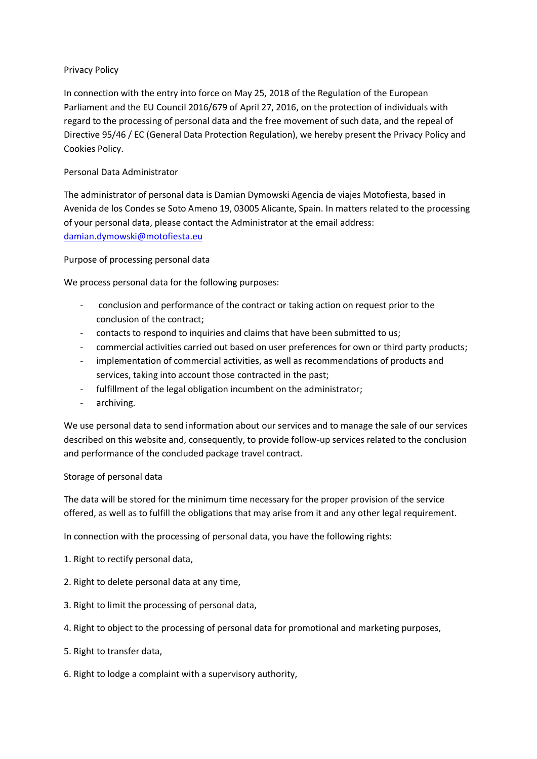# Privacy Policy

In connection with the entry into force on May 25, 2018 of the Regulation of the European Parliament and the EU Council 2016/679 of April 27, 2016, on the protection of individuals with regard to the processing of personal data and the free movement of such data, and the repeal of Directive 95/46 / EC (General Data Protection Regulation), we hereby present the Privacy Policy and Cookies Policy.

# Personal Data Administrator

The administrator of personal data is Damian Dymowski Agencia de viajes Motofiesta, based in Avenida de los Condes se Soto Ameno 19, 03005 Alicante, Spain. In matters related to the processing of your personal data, please contact the Administrator at the email address: [damian.dymowski@motofiesta.eu](mailto:damian.dymowski@motofiesta.eu)

## Purpose of processing personal data

We process personal data for the following purposes:

- conclusion and performance of the contract or taking action on request prior to the conclusion of the contract;
- contacts to respond to inquiries and claims that have been submitted to us;
- commercial activities carried out based on user preferences for own or third party products;
- implementation of commercial activities, as well as recommendations of products and services, taking into account those contracted in the past;
- fulfillment of the legal obligation incumbent on the administrator;
- archiving.

We use personal data to send information about our services and to manage the sale of our services described on this website and, consequently, to provide follow-up services related to the conclusion and performance of the concluded package travel contract.

#### Storage of personal data

The data will be stored for the minimum time necessary for the proper provision of the service offered, as well as to fulfill the obligations that may arise from it and any other legal requirement.

In connection with the processing of personal data, you have the following rights:

- 1. Right to rectify personal data,
- 2. Right to delete personal data at any time,
- 3. Right to limit the processing of personal data,
- 4. Right to object to the processing of personal data for promotional and marketing purposes,
- 5. Right to transfer data,
- 6. Right to lodge a complaint with a supervisory authority,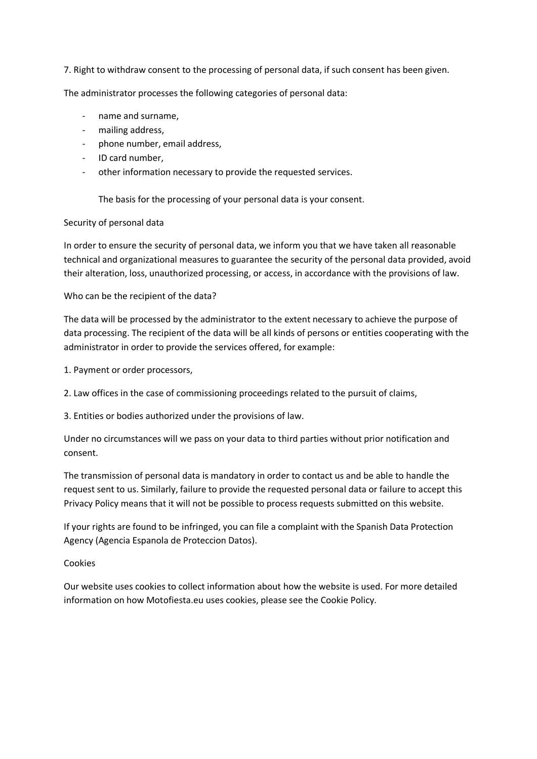7. Right to withdraw consent to the processing of personal data, if such consent has been given.

The administrator processes the following categories of personal data:

- name and surname,
- mailing address,
- phone number, email address,
- ID card number,
- other information necessary to provide the requested services.

The basis for the processing of your personal data is your consent.

#### Security of personal data

In order to ensure the security of personal data, we inform you that we have taken all reasonable technical and organizational measures to guarantee the security of the personal data provided, avoid their alteration, loss, unauthorized processing, or access, in accordance with the provisions of law.

## Who can be the recipient of the data?

The data will be processed by the administrator to the extent necessary to achieve the purpose of data processing. The recipient of the data will be all kinds of persons or entities cooperating with the administrator in order to provide the services offered, for example:

- 1. Payment or order processors,
- 2. Law offices in the case of commissioning proceedings related to the pursuit of claims,
- 3. Entities or bodies authorized under the provisions of law.

Under no circumstances will we pass on your data to third parties without prior notification and consent.

The transmission of personal data is mandatory in order to contact us and be able to handle the request sent to us. Similarly, failure to provide the requested personal data or failure to accept this Privacy Policy means that it will not be possible to process requests submitted on this website.

If your rights are found to be infringed, you can file a complaint with the Spanish Data Protection Agency (Agencia Espanola de Proteccion Datos).

#### Cookies

Our website uses cookies to collect information about how the website is used. For more detailed information on how Motofiesta.eu uses cookies, please see the Cookie Policy.